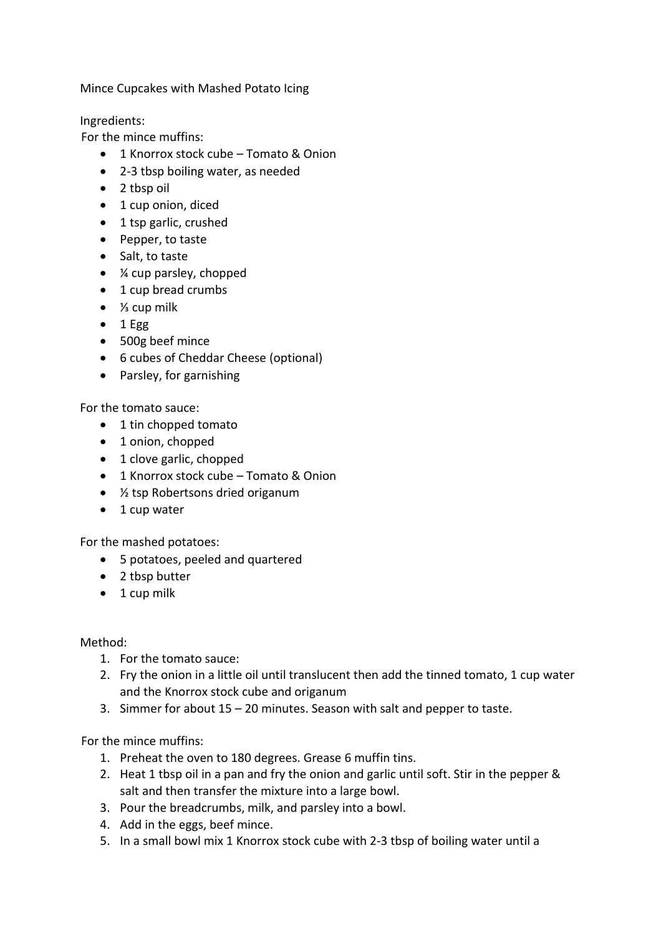Mince Cupcakes with Mashed Potato Icing

Ingredients:

For the mince muffins:

- 1 Knorrox stock cube Tomato & Onion
- 2-3 tbsp boiling water, as needed
- 2 tbsp oil
- 1 cup onion, diced
- 1 tsp garlic, crushed
- Pepper, to taste
- Salt, to taste
- *¼* cup parsley, chopped
- 1 cup bread crumbs
- ⅓ cup milk
- $\bullet$  1 Egg
- 500g beef mince
- 6 cubes of Cheddar Cheese (optional)
- Parsley, for garnishing

For the tomato sauce:

- 1 tin chopped tomato
- 1 onion, chopped
- 1 clove garlic, chopped
- 1 Knorrox stock cube Tomato & Onion
- $\frac{1}{2}$  tsp Robertsons dried origanum
- 1 cup water

For the mashed potatoes:

- 5 potatoes, peeled and quartered
- 2 tbsp butter
- 1 cup milk

## Method:

- 1. For the tomato sauce:
- 2. Fry the onion in a little oil until translucent then add the tinned tomato, 1 cup water and the Knorrox stock cube and origanum
- 3. Simmer for about 15 20 minutes. Season with salt and pepper to taste.

For the mince muffins:

- 1. Preheat the oven to 180 degrees. Grease 6 muffin tins.
- 2. Heat 1 tbsp oil in a pan and fry the onion and garlic until soft. Stir in the pepper & salt and then transfer the mixture into a large bowl.
- 3. Pour the breadcrumbs, milk, and parsley into a bowl.
- 4. Add in the eggs, beef mince.
- 5. In a small bowl mix 1 Knorrox stock cube with 2-3 tbsp of boiling water until a